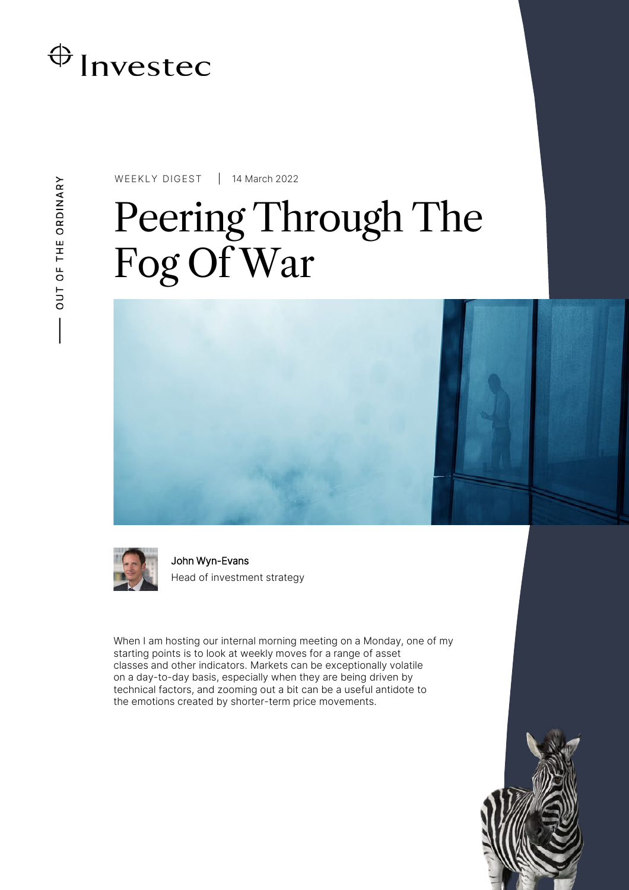## $\bigoplus$  Investec

WEEKLY DIGEST 14 March 2022

# Peering Through The Fog Of War



John Wyn-Evans Head of investment strategy

When I am hosting our internal morning meeting on a Monday, one of my starting points is to look at weekly moves for a range of asset classes and other indicators. Markets can be exceptionally volatile on a day-to-day basis, especially when they are being driven by technical factors, and zooming out a bit can be a useful antidote to the emotions created by shorter-term price movements.

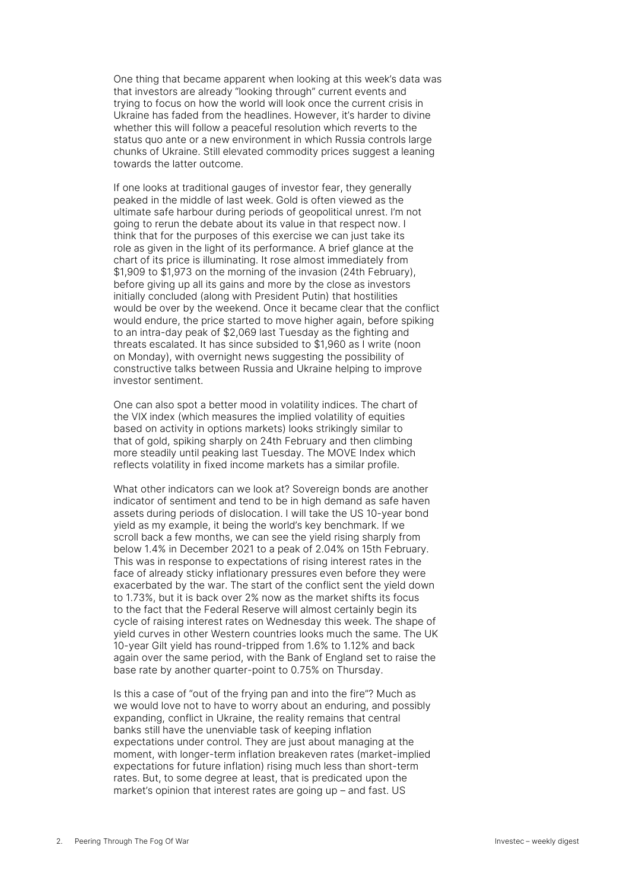One thing that became apparent when looking at this week's data was that investors are already "looking through" current events and trying to focus on how the world will look once the current crisis in Ukraine has faded from the headlines. However, it's harder to divine whether this will follow a peaceful resolution which reverts to the status quo ante or a new environment in which Russia controls large chunks of Ukraine. Still elevated commodity prices suggest a leaning towards the latter outcome.

If one looks at traditional gauges of investor fear, they generally peaked in the middle of last week. Gold is often viewed as the ultimate safe harbour during periods of geopolitical unrest. I'm not going to rerun the debate about its value in that respect now. I think that for the purposes of this exercise we can just take its role as given in the light of its performance. A brief glance at the chart of its price is illuminating. It rose almost immediately from \$1,909 to \$1,973 on the morning of the invasion (24th February), before giving up all its gains and more by the close as investors initially concluded (along with President Putin) that hostilities would be over by the weekend. Once it became clear that the conflict would endure, the price started to move higher again, before spiking to an intra-day peak of \$2,069 last Tuesday as the fighting and threats escalated. It has since subsided to \$1,960 as I write (noon on Monday), with overnight news suggesting the possibility of constructive talks between Russia and Ukraine helping to improve investor sentiment.

One can also spot a better mood in volatility indices. The chart of the VIX index (which measures the implied volatility of equities based on activity in options markets) looks strikingly similar to that of gold, spiking sharply on 24th February and then climbing more steadily until peaking last Tuesday. The MOVE Index which reflects volatility in fixed income markets has a similar profile.

What other indicators can we look at? Sovereign bonds are another indicator of sentiment and tend to be in high demand as safe haven assets during periods of dislocation. I will take the US 10-year bond yield as my example, it being the world's key benchmark. If we scroll back a few months, we can see the yield rising sharply from below 1.4% in December 2021 to a peak of 2.04% on 15th February. This was in response to expectations of rising interest rates in the face of already sticky inflationary pressures even before they were exacerbated by the war. The start of the conflict sent the yield down to 1.73%, but it is back over 2% now as the market shifts its focus to the fact that the Federal Reserve will almost certainly begin its cycle of raising interest rates on Wednesday this week. The shape of yield curves in other Western countries looks much the same. The UK 10-year Gilt yield has round-tripped from 1.6% to 1.12% and back again over the same period, with the Bank of England set to raise the base rate by another quarter-point to 0.75% on Thursday.

Is this a case of "out of the frying pan and into the fire"? Much as we would love not to have to worry about an enduring, and possibly expanding, conflict in Ukraine, the reality remains that central banks still have the unenviable task of keeping inflation expectations under control. They are just about managing at the moment, with longer-term inflation breakeven rates (market-implied expectations for future inflation) rising much less than short-term rates. But, to some degree at least, that is predicated upon the market's opinion that interest rates are going up – and fast. US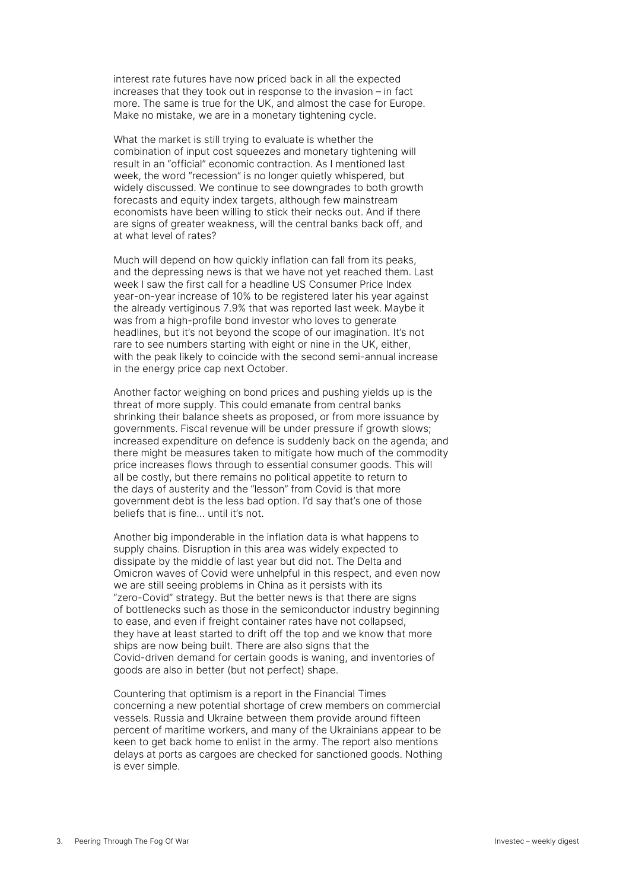interest rate futures have now priced back in all the expected increases that they took out in response to the invasion – in fact more. The same is true for the UK, and almost the case for Europe. Make no mistake, we are in a monetary tightening cycle.

What the market is still trying to evaluate is whether the combination of input cost squeezes and monetary tightening will result in an "official" economic contraction. As I mentioned last week, the word "recession" is no longer quietly whispered, but widely discussed. We continue to see downgrades to both growth forecasts and equity index targets, although few mainstream economists have been willing to stick their necks out. And if there are signs of greater weakness, will the central banks back off, and at what level of rates?

Much will depend on how quickly inflation can fall from its peaks, and the depressing news is that we have not yet reached them. Last week I saw the first call for a headline US Consumer Price Index year-on-year increase of 10% to be registered later his year against the already vertiginous 7.9% that was reported last week. Maybe it was from a high-profile bond investor who loves to generate headlines, but it's not beyond the scope of our imagination. It's not rare to see numbers starting with eight or nine in the UK, either, with the peak likely to coincide with the second semi-annual increase in the energy price cap next October.

Another factor weighing on bond prices and pushing yields up is the threat of more supply. This could emanate from central banks shrinking their balance sheets as proposed, or from more issuance by governments. Fiscal revenue will be under pressure if growth slows; increased expenditure on defence is suddenly back on the agenda; and there might be measures taken to mitigate how much of the commodity price increases flows through to essential consumer goods. This will all be costly, but there remains no political appetite to return to the days of austerity and the "lesson" from Covid is that more government debt is the less bad option. I'd say that's one of those beliefs that is fine… until it's not.

Another big imponderable in the inflation data is what happens to supply chains. Disruption in this area was widely expected to dissipate by the middle of last year but did not. The Delta and Omicron waves of Covid were unhelpful in this respect, and even now we are still seeing problems in China as it persists with its "zero-Covid" strategy. But the better news is that there are signs of bottlenecks such as those in the semiconductor industry beginning to ease, and even if freight container rates have not collapsed, they have at least started to drift off the top and we know that more ships are now being built. There are also signs that the Covid-driven demand for certain goods is waning, and inventories of goods are also in better (but not perfect) shape.

Countering that optimism is a report in the Financial Times concerning a new potential shortage of crew members on commercial vessels. Russia and Ukraine between them provide around fifteen percent of maritime workers, and many of the Ukrainians appear to be keen to get back home to enlist in the army. The report also mentions delays at ports as cargoes are checked for sanctioned goods. Nothing is ever simple.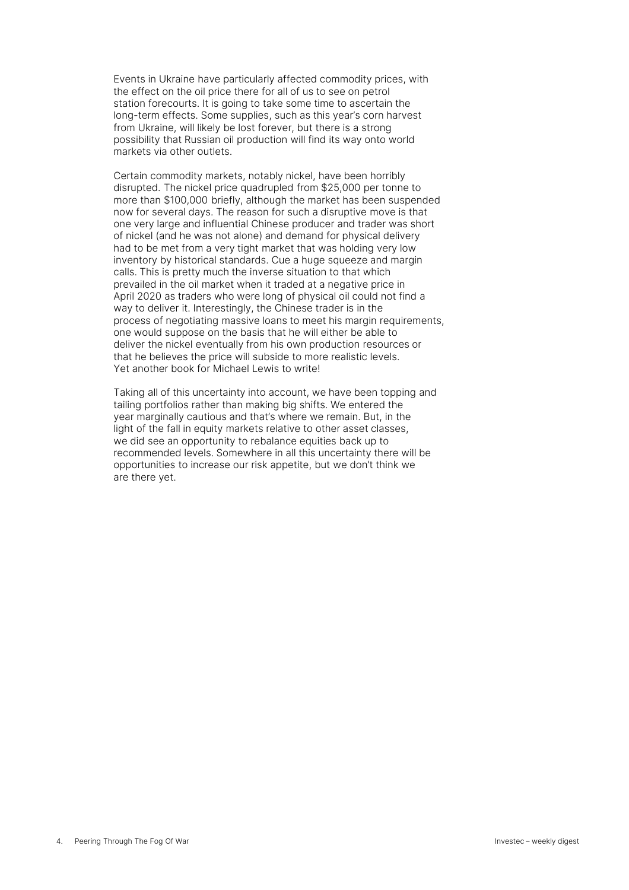Events in Ukraine have particularly affected commodity prices, with the effect on the oil price there for all of us to see on petrol station forecourts. It is going to take some time to ascertain the long-term effects. Some supplies, such as this year's corn harvest from Ukraine, will likely be lost forever, but there is a strong possibility that Russian oil production will find its way onto world markets via other outlets.

Certain commodity markets, notably nickel, have been horribly disrupted. The nickel price quadrupled from \$25,000 per tonne to more than \$100,000 briefly, although the market has been suspended now for several days. The reason for such a disruptive move is that one very large and influential Chinese producer and trader was short of nickel (and he was not alone) and demand for physical delivery had to be met from a very tight market that was holding very low inventory by historical standards. Cue a huge squeeze and margin calls. This is pretty much the inverse situation to that which prevailed in the oil market when it traded at a negative price in April 2020 as traders who were long of physical oil could not find a way to deliver it. Interestingly, the Chinese trader is in the process of negotiating massive loans to meet his margin requirements, one would suppose on the basis that he will either be able to deliver the nickel eventually from his own production resources or that he believes the price will subside to more realistic levels. Yet another book for Michael Lewis to write!

Taking all of this uncertainty into account, we have been topping and tailing portfolios rather than making big shifts. We entered the year marginally cautious and that's where we remain. But, in the light of the fall in equity markets relative to other asset classes, we did see an opportunity to rebalance equities back up to recommended levels. Somewhere in all this uncertainty there will be opportunities to increase our risk appetite, but we don't think we are there yet.